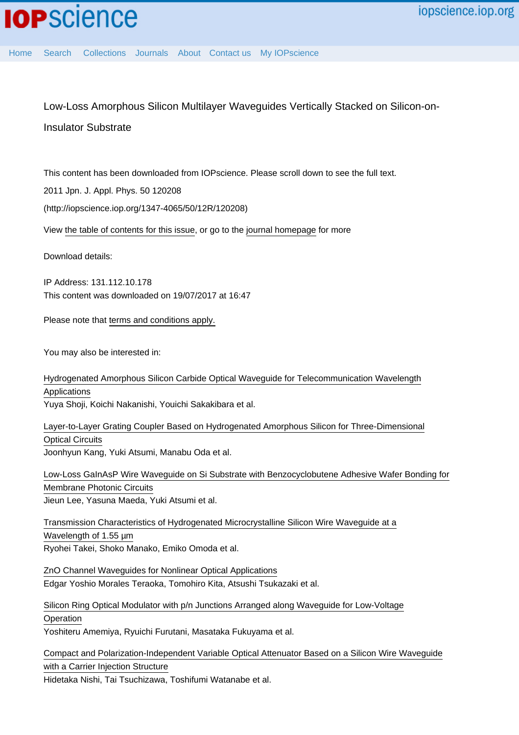Low-Loss Amorphous Silicon Multilayer Waveguides Vertically Stacked on Silicon-on-

## Insulator Substrate

This content has been downloaded from IOPscience. Please scroll down to see the full text.

2011 Jpn. J. Appl. Phys. 50 120208

(http://iopscience.iop.org/1347-4065/50/12R/120208)

View [the table of contents for this issue](http://iopscience.iop.org/1347-4065/50/12R), or go to the [journal homepage](http://iopscience.iop.org/1347-4065) for more

Download details:

IP Address: 131.112.10.178 This content was downloaded on 19/07/2017 at 16:47

Please note that [terms and conditions apply.](http://iopscience.iop.org/page/terms)

You may also be interested in:

[Hydrogenated Amorphous Silicon Carbide Optical Waveguide for Telecommunication Wavelength](http://iopscience.iop.org/article/10.1143/APEX.3.122201) [Applications](http://iopscience.iop.org/article/10.1143/APEX.3.122201) Yuya Shoji, Koichi Nakanishi, Youichi Sakakibara et al.

[Layer-to-Layer Grating Coupler Based on Hydrogenated Amorphous Silicon for Three-Dimensional](http://iopscience.iop.org/article/10.1143/JJAP.51.120203) [Optical Circuits](http://iopscience.iop.org/article/10.1143/JJAP.51.120203) Joonhyun Kang, Yuki Atsumi, Manabu Oda et al.

[Low-Loss GaInAsP Wire Waveguide on Si Substrate with Benzocyclobutene Adhesive Wafer Bonding for](http://iopscience.iop.org/article/10.1143/JJAP.51.042201) [Membrane Photonic Circuits](http://iopscience.iop.org/article/10.1143/JJAP.51.042201) Jieun Lee, Yasuna Maeda, Yuki Atsumi et al.

[Transmission Characteristics of Hydrogenated Microcrystalline Silicon Wire Waveguide at a](http://iopscience.iop.org/article/10.1143/APEX.5.082501) [Wavelength of 1.55 µm](http://iopscience.iop.org/article/10.1143/APEX.5.082501) Ryohei Takei, Shoko Manako, Emiko Omoda et al.

[ZnO Channel Waveguides for Nonlinear Optical Applications](http://iopscience.iop.org/article/10.1143/JJAP.49.04DG15) Edgar Yoshio Morales Teraoka, Tomohiro Kita, Atsushi Tsukazaki et al.

[Silicon Ring Optical Modulator with p/n Junctions Arranged along Waveguide for Low-Voltage](http://iopscience.iop.org/article/10.1143/JJAP.51.04DG07) **[Operation](http://iopscience.iop.org/article/10.1143/JJAP.51.04DG07)** 

Yoshiteru Amemiya, Ryuichi Furutani, Masataka Fukuyama et al.

[Compact and Polarization-Independent Variable Optical Attenuator Based on a Silicon Wire Waveguide](http://iopscience.iop.org/article/10.1143/JJAP.49.04DG20) [with a Carrier Injection Structure](http://iopscience.iop.org/article/10.1143/JJAP.49.04DG20)

Hidetaka Nishi, Tai Tsuchizawa, Toshifumi Watanabe et al.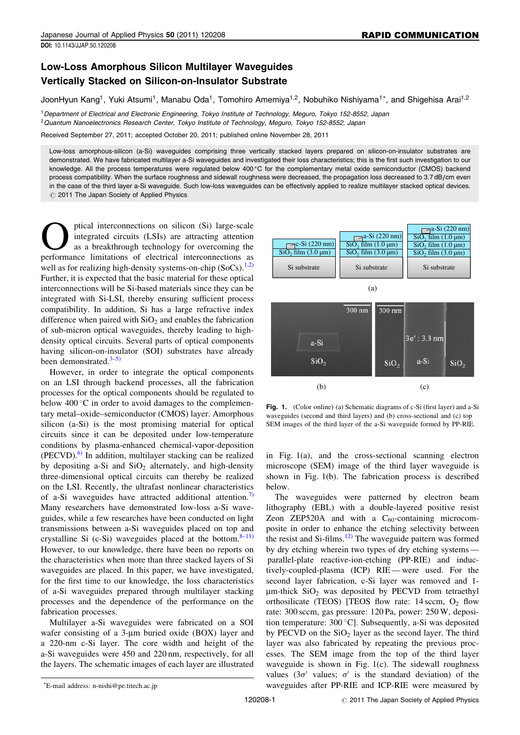## Low-Loss Amorphous Silicon Multilayer Waveguides Vertically Stacked on Silicon-on-Insulator Substrate

JoonHyun Kang<sup>1</sup>, Yuki Atsumi<sup>1</sup>, Manabu Oda<sup>1</sup>, Tomohiro Amemiya<sup>1,2</sup>, Nobuhiko Nishiyama<sup>1\*</sup>, and Shigehisa Arai<sup>1,2</sup>

<sup>1</sup>Department of Electrical and Electronic Engineering, Tokyo Institute of Technology, Meguro, Tokyo 152-8552, Japan <sup>2</sup> Quantum Nanoelectronics Research Center, Tokyo Institute of Technology, Meguro, Tokyo 152-8552, Japan

Received September 27, 2011; accepted October 20, 2011; published online November 28, 2011

Low-loss amorphous-silicon (a-Si) waveguides comprising three vertically stacked layers prepared on silicon-on-insulator substrates are demonstrated. We have fabricated multilayer a-Si waveguides and investigated their loss characteristics; this is the first such investigation to our knowledge. All the process temperatures were regulated below 400°C for the complementary metal oxide semiconductor (CMOS) backend process compatibility. When the surface roughness and sidewall roughness were decreased, the propagation loss decreased to 3.7 dB/cm even in the case of the third layer a-Si waveguide. Such low-loss waveguides can be effectively applied to realize multilayer stacked optical devices.  $\oslash$  2011 The Japan Society of Applied Physics

ptical interconnections on silicon (Si) large-scale integrated circuits (LSIs) are attracting attention as a breakthrough technology for overcoming the performance limitations of electrical interconnections as well as for realizing high-density systems-on-chip  $(SoCs)$ .<sup>[1,2\)](#page-3-0)</sup> Further, it is expected that the basic material for these optical interconnections will be Si-based materials since they can be integrated with Si-LSI, thereby ensuring sufficient process compatibility. In addition, Si has a large refractive index difference when paired with  $SiO<sub>2</sub>$  and enables the fabrication of sub-micron optical waveguides, thereby leading to highdensity optical circuits. Several parts of optical components having silicon-on-insulator (SOI) substrates have already been demonstrated. $3-5$ )

However, in order to integrate the optical components on an LSI through backend processes, all the fabrication processes for the optical components should be regulated to below  $400^{\circ}$ C in order to avoid damages to the complementary metal–oxide–semiconductor (CMOS) layer. Amorphous silicon (a-Si) is the most promising material for optical circuits since it can be deposited under low-temperature conditions by plasma-enhanced chemical-vapor-deposition  $(PECVD)$ .<sup>[6\)](#page-3-0)</sup> In addition, multilayer stacking can be realized by depositing a-Si and  $SiO<sub>2</sub>$  alternately, and high-density three-dimensional optical circuits can thereby be realized on the LSI. Recently, the ultrafast nonlinear characteristics of a-Si waveguides have attracted additional attention.<sup>[7\)](#page-3-0)</sup> Many researchers have demonstrated low-loss a-Si waveguides, while a few researches have been conducted on light transmissions between a-Si waveguides placed on top and crystalline Si (c-Si) waveguides placed at the bottom. $8-11$ ) However, to our knowledge, there have been no reports on the characteristics when more than three stacked layers of Si waveguides are placed. In this paper, we have investigated, for the first time to our knowledge, the loss characteristics of a-Si waveguides prepared through multilayer stacking processes and the dependence of the performance on the fabrication processes.

Multilayer a-Si waveguides were fabricated on a SOI wafer consisting of a  $3$ -µm buried oxide (BOX) layer and a 220-nm c-Si layer. The core width and height of the a-Si waveguides were 450 and 220 nm, respectively, for all the layers. The schematic images of each layer are illustrated



Fig. 1. (Color online) (a) Schematic diagrams of c-Si (first layer) and a-Si waveguides (second and third layers) and (b) cross-sectional and (c) top SEM images of the third layer of the a-Si waveguide formed by PP-RIE.

in Fig. 1(a), and the cross-sectional scanning electron microscope (SEM) image of the third layer waveguide is shown in Fig. 1(b). The fabrication process is described below.

The waveguides were patterned by electron beam lithography (EBL) with a double-layered positive resist Zeon ZEP520A and with a  $C_{60}$ -containing microcomposite in order to enhance the etching selectivity between the resist and Si-films. $12)$  The waveguide pattern was formed by dry etching wherein two types of dry etching systems parallel-plate reactive-ion-etching (PP-RIE) and inductively-coupled-plasma (ICP) RIE — were used. For the second layer fabrication, c-Si layer was removed and 1-  $\mu$ m-thick SiO<sub>2</sub> was deposited by PECVD from tetraethyl orthosilicate (TEOS) [TEOS flow rate: 14 sccm,  $O_2$  flow rate: 300 sccm, gas pressure: 120 Pa, power: 250 W, deposition temperature:  $300^{\circ}$ C]. Subsequently, a-Si was deposited by PECVD on the  $SiO<sub>2</sub>$  layer as the second layer. The third layer was also fabricated by repeating the previous processes. The SEM image from the top of the third layer waveguide is shown in Fig. 1(c). The sidewall roughness values (3 $\sigma'$  values;  $\sigma'$  is the standard deviation) of the waveguides after PP-RIE and ICP-RIE were measured by

E-mail address: n-nishi@pe.titech.ac.jp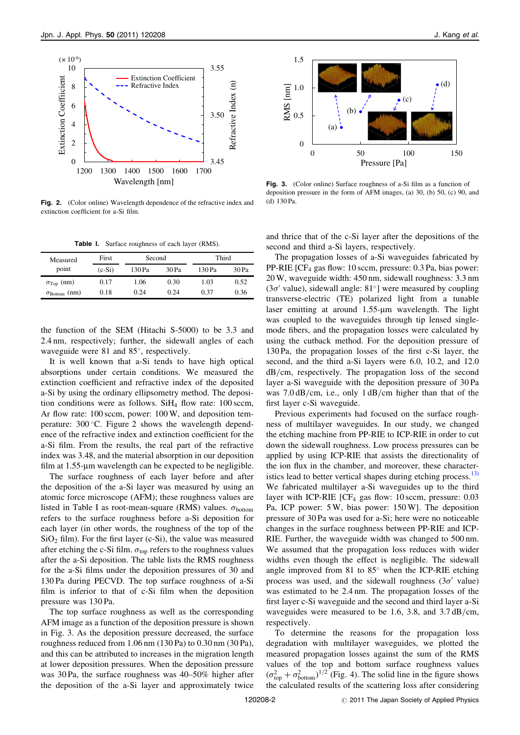

Fig. 2. (Color online) Wavelength dependence of the refractive index and extinction coefficient for a-Si film.

Table I. Surface roughness of each layer (RMS).

| Measured                      | First    | Second |       | Third  |       |
|-------------------------------|----------|--------|-------|--------|-------|
| point                         | $(c-Si)$ | 130 Pa | 30 Pa | 130 Pa | 30 Pa |
| $\sigma_{\text{Top}}$ (nm)    | 0.17     | 1.06   | 0.30  | 1.03   | 0.52  |
| $\sigma_{\text{Bottom}}$ (nm) | 0.18     | 0.24   | 0.24  | 0.37   | 0.36  |

the function of the SEM (Hitachi S-5000) to be 3.3 and 2.4 nm, respectively; further, the sidewall angles of each waveguide were 81 and 85°, respectively.

It is well known that a-Si tends to have high optical absorptions under certain conditions. We measured the extinction coefficient and refractive index of the deposited a-Si by using the ordinary ellipsometry method. The deposition conditions were as follows.  $SiH<sub>4</sub>$  flow rate: 100 sccm, Ar flow rate: 100 sccm, power: 100 W, and deposition temperature:  $300^{\circ}$ C. Figure 2 shows the wavelength dependence of the refractive index and extinction coefficient for the a-Si film. From the results, the real part of the refractive index was 3.48, and the material absorption in our deposition film at 1.55-um wavelength can be expected to be negligible.

The surface roughness of each layer before and after the deposition of the a-Si layer was measured by using an atomic force microscope (AFM); these roughness values are listed in Table I as root-mean-square (RMS) values.  $\sigma_{bottom}$ refers to the surface roughness before a-Si deposition for each layer (in other words, the roughness of the top of the  $SiO<sub>2</sub>$  film). For the first layer (c-Si), the value was measured after etching the c-Si film.  $\sigma_{top}$  refers to the roughness values after the a-Si deposition. The table lists the RMS roughness for the a-Si films under the deposition pressures of 30 and 130 Pa during PECVD. The top surface roughness of a-Si film is inferior to that of c-Si film when the deposition pressure was 130 Pa.

The top surface roughness as well as the corresponding AFM image as a function of the deposition pressure is shown in Fig. 3. As the deposition pressure decreased, the surface roughness reduced from 1.06 nm (130 Pa) to 0.30 nm (30 Pa), and this can be attributed to increases in the migration length at lower deposition pressures. When the deposition pressure was 30 Pa, the surface roughness was 40–50% higher after the deposition of the a-Si layer and approximately twice



Fig. 3. (Color online) Surface roughness of a-Si film as a function of deposition pressure in the form of AFM images, (a) 30, (b) 50, (c) 90, and (d) 130 Pa.

and thrice that of the c-Si layer after the depositions of the second and third a-Si layers, respectively.

The propagation losses of a-Si waveguides fabricated by PP-RIE [CF<sup>4</sup> gas flow: 10 sccm, pressure: 0.3 Pa, bias power: 20 W, waveguide width: 450 nm, sidewall roughness: 3.3 nm ( $3\sigma'$  value), sidewall angle:  $81^\circ$ ] were measured by coupling transverse-electric (TE) polarized light from a tunable laser emitting at around 1.55-um wavelength. The light was coupled to the waveguides through tip lensed singlemode fibers, and the propagation losses were calculated by using the cutback method. For the deposition pressure of 130 Pa, the propagation losses of the first c-Si layer, the second, and the third a-Si layers were 6.0, 10.2, and 12.0 dB/cm, respectively. The propagation loss of the second layer a-Si waveguide with the deposition pressure of 30 Pa was 7.0 dB/cm, i.e., only 1 dB/cm higher than that of the first layer c-Si waveguide.

Previous experiments had focused on the surface roughness of multilayer waveguides. In our study, we changed the etching machine from PP-RIE to ICP-RIE in order to cut down the sidewall roughness. Low process pressures can be applied by using ICP-RIE that assists the directionality of the ion flux in the chamber, and moreover, these character-istics lead to better vertical shapes during etching process.<sup>[13\)](#page-3-0)</sup> We fabricated multilayer a-Si waveguides up to the third layer with ICP-RIE  $[CF_4$  gas flow: 10 sccm, pressure: 0.03 Pa, ICP power: 5 W, bias power: 150 W]. The deposition pressure of 30 Pa was used for a-Si; here were no noticeable changes in the surface roughness between PP-RIE and ICP-RIE. Further, the waveguide width was changed to 500 nm. We assumed that the propagation loss reduces with wider widths even though the effect is negligible. The sidewall angle improved from 81 to  $85^\circ$  when the ICP-RIE etching process was used, and the sidewall roughness  $(3\sigma'$  value) was estimated to be 2.4 nm. The propagation losses of the first layer c-Si waveguide and the second and third layer a-Si waveguides were measured to be 1.6, 3.8, and 3.7 dB/cm, respectively.

To determine the reasons for the propagation loss degradation with multilayer waveguides, we plotted the measured propagation losses against the sum of the RMS values of the top and bottom surface roughness values  $(\sigma_{\text{top}}^2 + \sigma_{\text{bottom}}^2)^{1/2}$  (Fig. 4). The solid line in the figure shows the calculated results of the scattering loss after considering